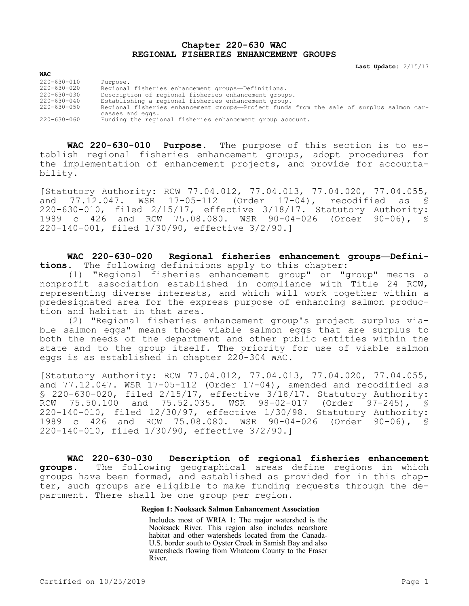# **Chapter 220-630 WAC REGIONAL FISHERIES ENHANCEMENT GROUPS**

**Last Update:** 2/15/17

| 220-630-010 | Purpose.                                                                                 |
|-------------|------------------------------------------------------------------------------------------|
| 220-630-020 | Regional fisheries enhancement groups-Definitions.                                       |
| 220-630-030 | Description of regional fisheries enhancement groups.                                    |
| 220-630-040 | Establishing a regional fisheries enhancement group.                                     |
| 220-630-050 | Regional fisheries enhancement groups-Project funds from the sale of surplus salmon car- |
|             | casses and eggs.                                                                         |
| 220-630-060 | Funding the regional fisheries enhancement group account.                                |

**WAC 220-630-010 Purpose.** The purpose of this section is to establish regional fisheries enhancement groups, adopt procedures for the implementation of enhancement projects, and provide for accountability.

[Statutory Authority: RCW 77.04.012, 77.04.013, 77.04.020, 77.04.055, and 77.12.047. WSR 17-05-112 (Order 17-04), recodified as \$ 220-630-010, filed 2/15/17, effective 3/18/17. Statutory Authority:<br>1989 c 426 and RCW 75.08.080. WSR 90-04-026 (Order 90-06), § 1989 c 426 and RCW 75.08.080. WSR 90-04-026 (Order 90-06), § 220-140-001, filed 1/30/90, effective 3/2/90.]

**WAC 220-630-020 Regional fisheries enhancement groups—Definitions.** The following definitions apply to this chapter:

(1) "Regional fisheries enhancement group" or "group" means a nonprofit association established in compliance with Title 24 RCW, representing diverse interests, and which will work together within a predesignated area for the express purpose of enhancing salmon production and habitat in that area.

(2) "Regional fisheries enhancement group's project surplus viable salmon eggs" means those viable salmon eggs that are surplus to both the needs of the department and other public entities within the state and to the group itself. The priority for use of viable salmon eggs is as established in chapter 220-304 WAC.

[Statutory Authority: RCW 77.04.012, 77.04.013, 77.04.020, 77.04.055, and  $77.12.047$ . WSR  $17-05-112$  (Order  $17-04$ ), amended and recodified as § 220-630-020, filed 2/15/17, effective 3/18/17. Statutory Authority:<br>RCW 75.50.100 and 75.52.035. WSR 98-02-017 (Order 97-245), § RCW 75.50.100 and 75.52.035. WSR 98-02-017 (Order 97-245), § 220-140-010, filed 12/30/97, effective 1/30/98. Statutory Authority: 1989 c 426 and RCW 75.08.080. WSR 90-04-026 (Order 90-06), § 220-140-010, filed 1/30/90, effective 3/2/90.]

**WAC 220-630-030 Description of regional fisheries enhancement groups.** The following geographical areas define regions in which groups have been formed, and established as provided for in this chapter, such groups are eligible to make funding requests through the department. There shall be one group per region.

# **Region 1: Nooksack Salmon Enhancement Association**

Includes most of WRIA 1: The major watershed is the Nooksack River. This region also includes nearshore habitat and other watersheds located from the Canada-U.S. border south to Oyster Creek in Samish Bay and also watersheds flowing from Whatcom County to the Fraser River.

**WAC**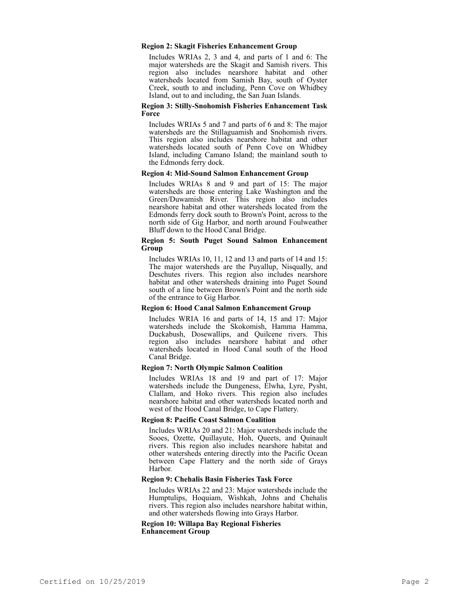### **Region 2: Skagit Fisheries Enhancement Group**

Includes WRIAs 2, 3 and 4, and parts of 1 and 6: The major watersheds are the Skagit and Samish rivers. This region also includes nearshore habitat and other watersheds located from Samish Bay, south of Oyster Creek, south to and including, Penn Cove on Whidbey Island, out to and including, the San Juan Islands.

#### **Region 3: Stilly-Snohomish Fisheries Enhancement Task Force**

Includes WRIAs 5 and 7 and parts of 6 and 8: The major watersheds are the Stillaguamish and Snohomish rivers. This region also includes nearshore habitat and other watersheds located south of Penn Cove on Whidbey Island, including Camano Island; the mainland south to the Edmonds ferry dock.

#### **Region 4: Mid-Sound Salmon Enhancement Group**

Includes WRIAs 8 and 9 and part of 15: The major watersheds are those entering Lake Washington and the Green/Duwamish River. This region also includes nearshore habitat and other watersheds located from the Edmonds ferry dock south to Brown's Point, across to the north side of Gig Harbor, and north around Foulweather Bluff down to the Hood Canal Bridge.

### **Region 5: South Puget Sound Salmon Enhancement Group**

Includes WRIAs 10, 11, 12 and 13 and parts of 14 and 15: The major watersheds are the Puyallup, Nisqually, and Deschutes rivers. This region also includes nearshore habitat and other watersheds draining into Puget Sound south of a line between Brown's Point and the north side of the entrance to Gig Harbor.

### **Region 6: Hood Canal Salmon Enhancement Group**

Includes WRIA 16 and parts of 14, 15 and 17: Major watersheds include the Skokomish, Hamma Hamma, Duckabush, Dosewallips, and Quilcene rivers. This region also includes nearshore habitat and other watersheds located in Hood Canal south of the Hood Canal Bridge.

## **Region 7: North Olympic Salmon Coalition**

Includes WRIAs 18 and 19 and part of 17: Major watersheds include the Dungeness, Elwha, Lyre, Pysht, Clallam, and Hoko rivers. This region also includes nearshore habitat and other watersheds located north and west of the Hood Canal Bridge, to Cape Flattery.

## **Region 8: Pacific Coast Salmon Coalition**

Includes WRIAs 20 and 21: Major watersheds include the Sooes, Ozette, Quillayute, Hoh, Queets, and Quinault rivers. This region also includes nearshore habitat and other watersheds entering directly into the Pacific Ocean between Cape Flattery and the north side of Grays Harbor.

### **Region 9: Chehalis Basin Fisheries Task Force**

Includes WRIAs 22 and 23: Major watersheds include the Humptulips, Hoquiam, Wishkah, Johns and Chehalis rivers. This region also includes nearshore habitat within, and other watersheds flowing into Grays Harbor.

**Region 10: Willapa Bay Regional Fisheries Enhancement Group**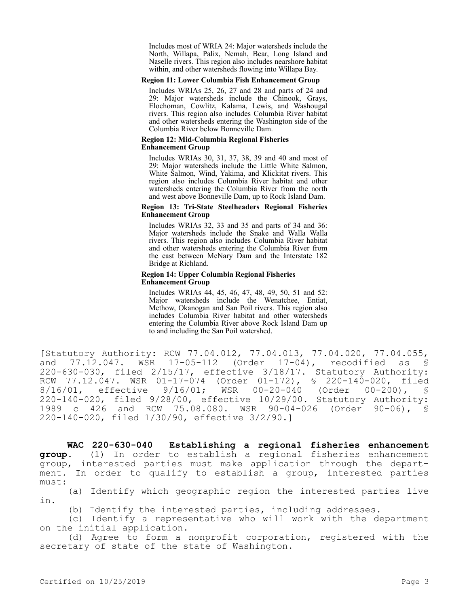Includes most of WRIA 24: Major watersheds include the North, Willapa, Palix, Nemah, Bear, Long Island and Naselle rivers. This region also includes nearshore habitat within, and other watersheds flowing into Willapa Bay.

### **Region 11: Lower Columbia Fish Enhancement Group**

Includes WRIAs 25, 26, 27 and 28 and parts of 24 and 29: Major watersheds include the Chinook, Grays, Elochoman, Cowlitz, Kalama, Lewis, and Washougal rivers. This region also includes Columbia River habitat and other watersheds entering the Washington side of the Columbia River below Bonneville Dam.

#### **Region 12: Mid-Columbia Regional Fisheries Enhancement Group**

Includes WRIAs 30, 31, 37, 38, 39 and 40 and most of 29: Major watersheds include the Little White Salmon, White Salmon, Wind, Yakima, and Klickitat rivers. This region also includes Columbia River habitat and other watersheds entering the Columbia River from the north and west above Bonneville Dam, up to Rock Island Dam.

## **Region 13: Tri-State Steelheaders Regional Fisheries Enhancement Group**

Includes WRIAs 32, 33 and 35 and parts of 34 and 36: Major watersheds include the Snake and Walla Walla rivers. This region also includes Columbia River habitat and other watersheds entering the Columbia River from the east between McNary Dam and the Interstate 182 Bridge at Richland.

## **Region 14: Upper Columbia Regional Fisheries Enhancement Group**

Includes WRIAs 44, 45, 46, 47, 48, 49, 50, 51 and 52: Major watersheds include the Wenatchee, Entiat, Methow, Okanogan and San Poil rivers. This region also includes Columbia River habitat and other watersheds entering the Columbia River above Rock Island Dam up to and including the San Poil watershed.

[Statutory Authority: RCW 77.04.012, 77.04.013, 77.04.020, 77.04.055, and 77.12.047. WSR 17-05-112 (Order 17-04), recodified as § 220-630-030, filed 2/15/17, effective 3/18/17. Statutory Authority: RCW 77.12.047. WSR 01-17-074 (Order 01-172), § 220-140-020, filed<br>8/16/01, effective 9/16/01; WSR 00-20-040 (Order 00-200), § 8/16/01, effective 9/16/01; WSR 00-20-040 (Order 00-200), § 220-140-020, filed 9/28/00, effective 10/29/00. Statutory Authority: 1989 c 426 and RCW 75.08.080. WSR 90-04-026 (Order 90-06), § 220-140-020, filed 1/30/90, effective 3/2/90.]

**WAC 220-630-040 Establishing a regional fisheries enhancement group.** (1) In order to establish a regional fisheries enhancement group, interested parties must make application through the department. In order to qualify to establish a group, interested parties must:

(a) Identify which geographic region the interested parties live in.

(b) Identify the interested parties, including addresses.

(c) Identify a representative who will work with the department on the initial application.

(d) Agree to form a nonprofit corporation, registered with the secretary of state of the state of Washington.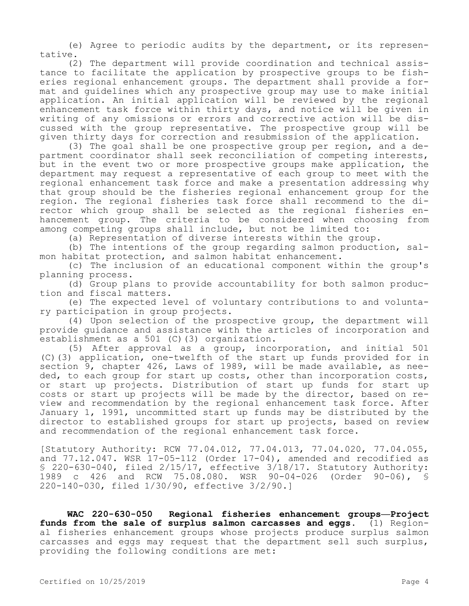(e) Agree to periodic audits by the department, or its representative.

(2) The department will provide coordination and technical assistance to facilitate the application by prospective groups to be fisheries regional enhancement groups. The department shall provide a format and guidelines which any prospective group may use to make initial application. An initial application will be reviewed by the regional enhancement task force within thirty days, and notice will be given in writing of any omissions or errors and corrective action will be discussed with the group representative. The prospective group will be given thirty days for correction and resubmission of the application.

(3) The goal shall be one prospective group per region, and a department coordinator shall seek reconciliation of competing interests, but in the event two or more prospective groups make application, the department may request a representative of each group to meet with the regional enhancement task force and make a presentation addressing why that group should be the fisheries regional enhancement group for the region. The regional fisheries task force shall recommend to the director which group shall be selected as the regional fisheries enhancement group. The criteria to be considered when choosing from among competing groups shall include, but not be limited to:

(a) Representation of diverse interests within the group.

(b) The intentions of the group regarding salmon production, salmon habitat protection, and salmon habitat enhancement.

(c) The inclusion of an educational component within the group's planning process.

(d) Group plans to provide accountability for both salmon production and fiscal matters.

(e) The expected level of voluntary contributions to and voluntary participation in group projects.

(4) Upon selection of the prospective group, the department will provide guidance and assistance with the articles of incorporation and establishment as a 501 (C)(3) organization.

(5) After approval as a group, incorporation, and initial 501 (C)(3) application, one-twelfth of the start up funds provided for in section 9, chapter 426, Laws of 1989, will be made available, as needed, to each group for start up costs, other than incorporation costs, or start up projects. Distribution of start up funds for start up costs or start up projects will be made by the director, based on review and recommendation by the regional enhancement task force. After January 1, 1991, uncommitted start up funds may be distributed by the director to established groups for start up projects, based on review and recommendation of the regional enhancement task force.

[Statutory Authority: RCW 77.04.012, 77.04.013, 77.04.020, 77.04.055, and  $77.12.047$ . WSR  $17-05-112$  (Order  $17-04$ ), amended and recodified as § 220-630-040, filed 2/15/17, effective 3/18/17. Statutory Authority: 1989 c 426 and RCW 75.08.080. WSR 90-04-026 (Order 90-06), § 220-140-030, filed 1/30/90, effective 3/2/90.]

**WAC 220-630-050 Regional fisheries enhancement groups—Project funds from the sale of surplus salmon carcasses and eggs.** (1) Regional fisheries enhancement groups whose projects produce surplus salmon carcasses and eggs may request that the department sell such surplus, providing the following conditions are met: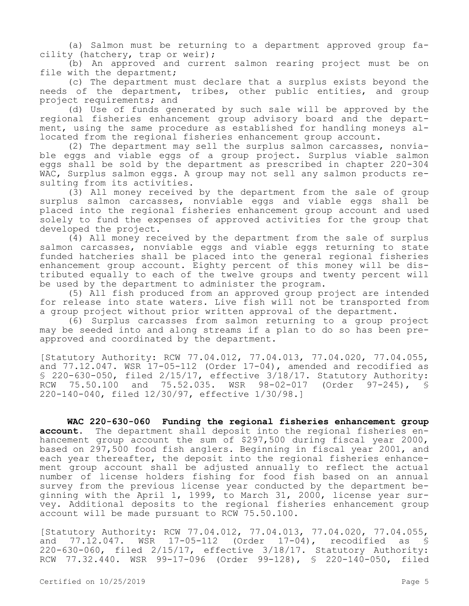(a) Salmon must be returning to a department approved group facility (hatchery, trap or weir);

(b) An approved and current salmon rearing project must be on file with the department;

(c) The department must declare that a surplus exists beyond the needs of the department, tribes, other public entities, and group project requirements; and

(d) Use of funds generated by such sale will be approved by the regional fisheries enhancement group advisory board and the department, using the same procedure as established for handling moneys allocated from the regional fisheries enhancement group account.

(2) The department may sell the surplus salmon carcasses, nonviable eggs and viable eggs of a group project. Surplus viable salmon eggs shall be sold by the department as prescribed in chapter 220-304 WAC, Surplus salmon eggs. A group may not sell any salmon products resulting from its activities.

(3) All money received by the department from the sale of group surplus salmon carcasses, nonviable eggs and viable eggs shall be placed into the regional fisheries enhancement group account and used solely to fund the expenses of approved activities for the group that developed the project.

(4) All money received by the department from the sale of surplus salmon carcasses, nonviable eggs and viable eggs returning to state funded hatcheries shall be placed into the general regional fisheries enhancement group account. Eighty percent of this money will be distributed equally to each of the twelve groups and twenty percent will be used by the department to administer the program.

(5) All fish produced from an approved group project are intended for release into state waters. Live fish will not be transported from a group project without prior written approval of the department.

(6) Surplus carcasses from salmon returning to a group project may be seeded into and along streams if a plan to do so has been preapproved and coordinated by the department.

[Statutory Authority: RCW 77.04.012, 77.04.013, 77.04.020, 77.04.055, and  $77.12.047$ . WSR  $17-05-112$  (Order  $17-04$ ), amended and recodified as § 220-630-050, filed  $2/15/17$ , effective  $3/18/17$ . Statutory Authority: RCW 75.50.100 and 75.52.035. WSR 98-02-017 (Order 97-245), § 220-140-040, filed 12/30/97, effective 1/30/98.]

**WAC 220-630-060 Funding the regional fisheries enhancement group account.** The department shall deposit into the regional fisheries enhancement group account the sum of \$297,500 during fiscal year 2000, based on 297,500 food fish anglers. Beginning in fiscal year 2001, and each year thereafter, the deposit into the regional fisheries enhancement group account shall be adjusted annually to reflect the actual number of license holders fishing for food fish based on an annual survey from the previous license year conducted by the department beginning with the April 1, 1999, to March 31, 2000, license year survey. Additional deposits to the regional fisheries enhancement group account will be made pursuant to RCW 75.50.100.

[Statutory Authority: RCW 77.04.012, 77.04.013, 77.04.020, 77.04.055, and 77.12.047. WSR 17-05-112 (Order 17-04), recodified as § 220-630-060, filed 2/15/17, effective 3/18/17. Statutory Authority: RCW 77.32.440. WSR 99-17-096 (Order 99-128), § 220-140-050, filed